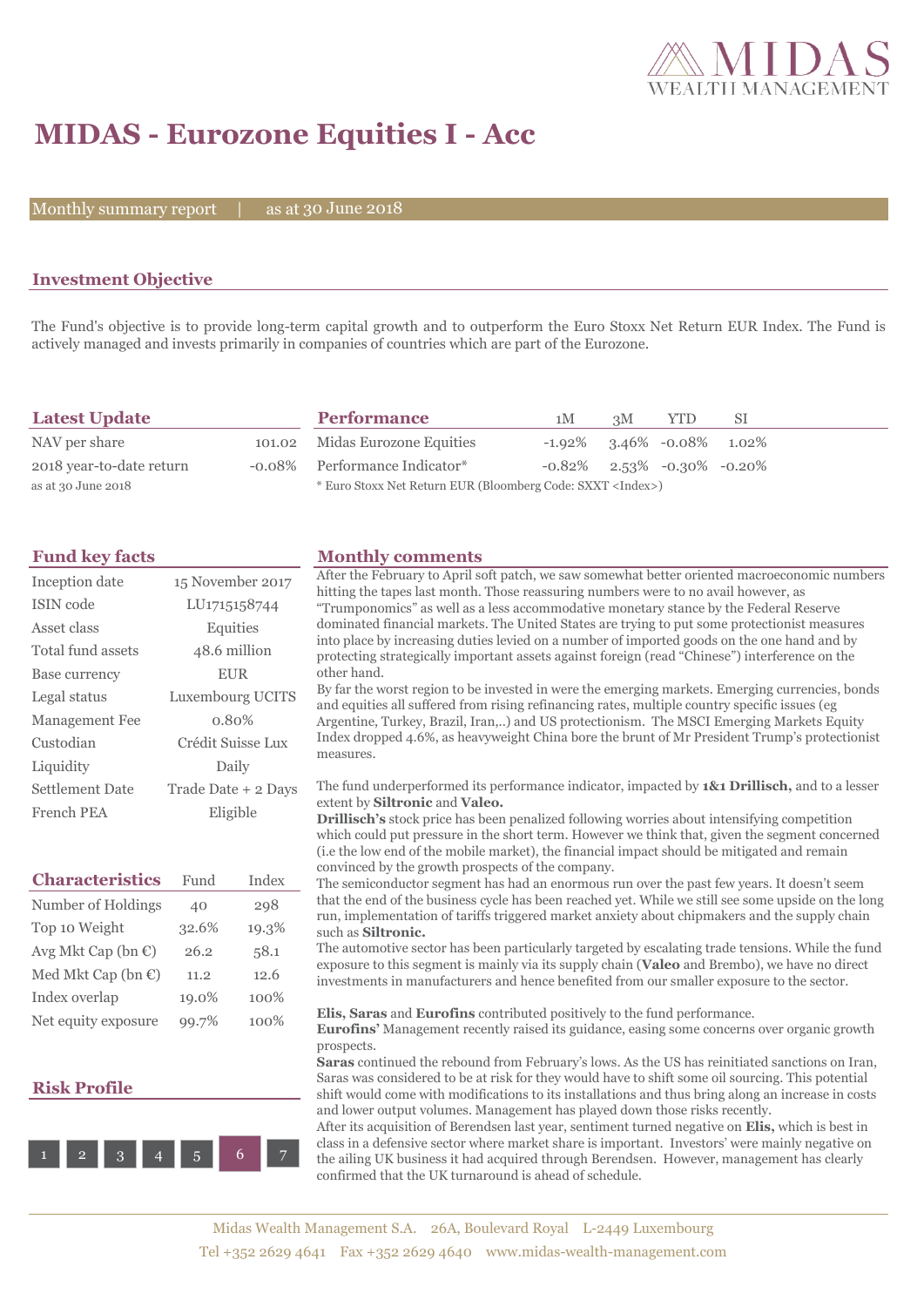

# **MIDAS - Eurozone Equities I - Acc**

Monthly summary report  $|$ 

30 June 2018

## **Investment Objective**

The Fund's objective is to provide long-term capital growth and to outperform the Euro Stoxx Net Return EUR Index. The Fund is actively managed and invests primarily in companies of countries which are part of the Eurozone.

| <b>Latest Update</b>     | <b>Performance</b>                                                 | 1M                                  | 3M | <b>YTD</b> | -SI |
|--------------------------|--------------------------------------------------------------------|-------------------------------------|----|------------|-----|
| NAV per share            | 101.02 Midas Eurozone Equities                                     | $-1.92\%$ 3.46% $-0.08\%$ 1.02%     |    |            |     |
| 2018 year-to-date return | -0.08% Performance Indicator*                                      | $-0.82\%$ 2.53% $-0.30\%$ $-0.20\%$ |    |            |     |
| as at 30 June 2018       | * Euro Stoxx Net Return EUR (Bloomberg Code: SXXT <index>)</index> |                                     |    |            |     |

| <b>Fund key facts</b> |  |  |
|-----------------------|--|--|
|                       |  |  |

| Inception date         | 15 November 2017          |
|------------------------|---------------------------|
| <b>ISIN</b> code       | LU <sub>171515</sub> 8744 |
| Asset class            | Equities                  |
| Total fund assets      | 48.6 million              |
| Base currency          | <b>EUR</b>                |
| Legal status           | Luxembourg UCITS          |
| Management Fee         | 0.80%                     |
| Custodian              | Crédit Suisse Lux         |
| Liquidity              | Daily                     |
| <b>Settlement Date</b> | Trade Date + 2 Days       |
| French PEA             | Eligible                  |
|                        |                           |

| <b>Characteristics</b>         | Fund  | Index |
|--------------------------------|-------|-------|
| Number of Holdings             | 40    | 298   |
| Top 10 Weight                  | 32.6% | 19.3% |
| Avg Mkt Cap (bn $\epsilon$ )   | 26.2  | 58.1  |
| Med Mkt Cap (bn $\mathbb{C}$ ) | 11.2  | 12.6  |
| Index overlap                  | 19.0% | 100%  |
| Net equity exposure            | 99.7% | 100%  |

### **Risk Profile**



# **Monthly comments**

| After the February to April soft patch, we saw somewhat better oriented macroeconomic numbers<br>hitting the tapes last month. Those reassuring numbers were to no avail however, as<br>"Trumponomics" as well as a less accommodative monetary stance by the Federal Reserve<br>dominated financial markets. The United States are trying to put some protectionist measures<br>into place by increasing duties levied on a number of imported goods on the one hand and by<br>protecting strategically important assets against foreign (read "Chinese") interference on the<br>other hand.                                                                                                                                                                                                                                                                                                                                                                                                                                                                                                                              |
|----------------------------------------------------------------------------------------------------------------------------------------------------------------------------------------------------------------------------------------------------------------------------------------------------------------------------------------------------------------------------------------------------------------------------------------------------------------------------------------------------------------------------------------------------------------------------------------------------------------------------------------------------------------------------------------------------------------------------------------------------------------------------------------------------------------------------------------------------------------------------------------------------------------------------------------------------------------------------------------------------------------------------------------------------------------------------------------------------------------------------|
| By far the worst region to be invested in were the emerging markets. Emerging currencies, bonds<br>and equities all suffered from rising refinancing rates, multiple country specific issues (eg<br>Argentine, Turkey, Brazil, Iran,) and US protectionism. The MSCI Emerging Markets Equity<br>Index dropped 4.6%, as heavyweight China bore the brunt of Mr President Trump's protectionist<br>measures.                                                                                                                                                                                                                                                                                                                                                                                                                                                                                                                                                                                                                                                                                                                 |
| The fund underperformed its performance indicator, impacted by 1&1 Drillisch, and to a lesser<br>extent by Siltronic and Valeo.<br><b>Drillisch's</b> stock price has been penalized following worries about intensifying competition<br>which could put pressure in the short term. However we think that, given the segment concerned<br>(i.e the low end of the mobile market), the financial impact should be mitigated and remain<br>convinced by the growth prospects of the company.<br>The semiconductor segment has had an enormous run over the past few years. It doesn't seem<br>that the end of the business cycle has been reached yet. While we still see some upside on the long<br>run, implementation of tariffs triggered market anxiety about chipmakers and the supply chain<br>such as Siltronic.<br>The automotive sector has been particularly targeted by escalating trade tensions. While the fund<br>exposure to this segment is mainly via its supply chain (Valeo and Brembo), we have no direct<br>investments in manufacturers and hence benefited from our smaller exposure to the sector. |
| Elis, Saras and Eurofins contributed positively to the fund performance.<br>Eurofins' Management recently raised its guidance, easing some concerns over organic growth<br>prospects.<br><b>Saras</b> continued the rebound from February's lows. As the US has reinitiated sanctions on Iran,<br>Saras was considered to be at risk for they would have to shift some oil sourcing. This potential<br>shift would come with modifications to its installations and thus bring along an increase in costs<br>and lower output volumes. Management has played down those risks recently.<br>After its equivation of Darandson last wear, septiment turned negative on Flig which is best in                                                                                                                                                                                                                                                                                                                                                                                                                                 |

After its acquisition of Berendsen last year, sentiment turned negative on **Elis,** which is best in class in a defensive sector where market share is important. Investors' were mainly negative on the ailing UK business it had acquired through Berendsen. However, management has clearly confirmed that the UK turnaround is ahead of schedule.